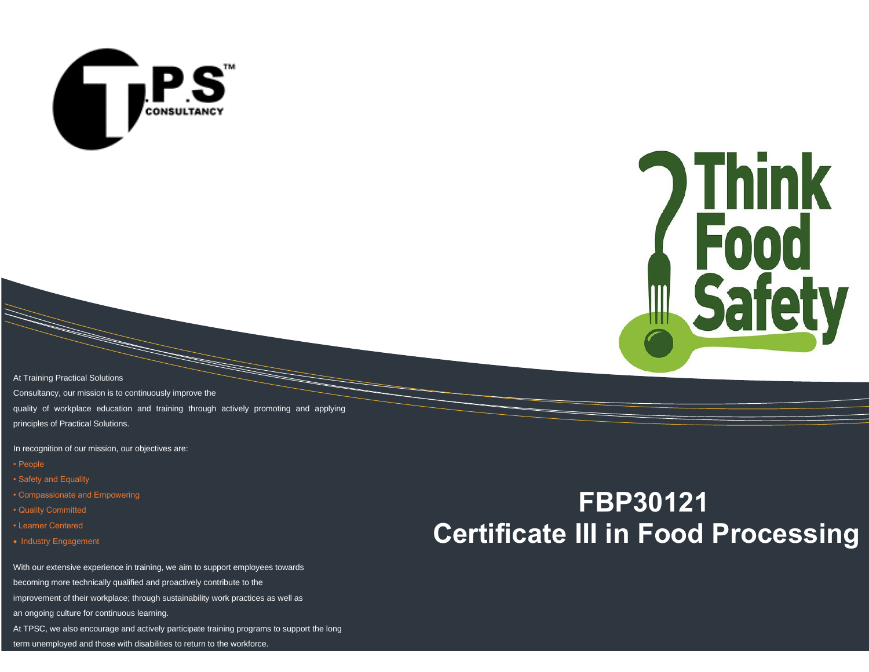



At Training Practical Solutions Consultancy, our mission is to continuously improve the quality of workplace education and training through actively promoting and applying principles of Practical Solutions.

In recognition of our mission, our objectives are:

- People
- Safety and Equality
- Compassionate and Empowering
- Quality Committed
- Learner Centered
- Industry Engagement

With our extensive experience in training, we aim to support employees towards becoming more technically qualified and proactively contribute to the improvement of their workplace; through sustainability work practices as well as an ongoing culture for continuous learning. At TPSC, we also encourage and actively participate training programs to support the long

# **FBP30121 Certificate III in Food Processing**

term unemployed and those with disabilities to return to the workforce.